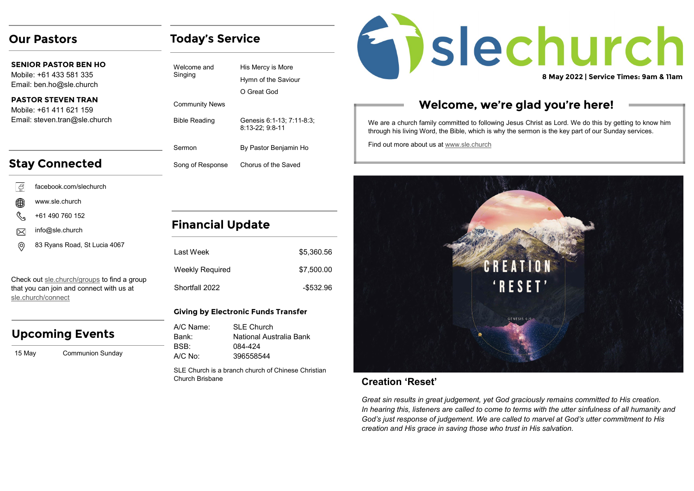### **Our Pastors**

**SENIOR PASTOR BEN HO** Mobile: +61 433 581 335 Email: ben.ho@sle.church

**PASTOR STEVEN TRAN**  Mobile: +61 411 621 159 Email: steven.tran@sle.church

## **Stay Connected**

- facebook.com/slechurch l G
- www.sle.church
- +61 490 760 152
- info@sle.church  $\boxtimes$
- 83 Ryans Road, St Lucia 4067 ⊚

Check out [sle.church/groups](https://sle.church/groups) to find a group that you can join and connect with us at [sle.church/connect](https://sle.church/connect)

### **Upcoming Events**

15 May Communion Sun

**Today's Service**

| Welcome and<br>Singing | His Mercy is More<br>Hymn of the Saviour<br>O Great God |
|------------------------|---------------------------------------------------------|
| <b>Community News</b>  |                                                         |
| <b>Bible Reading</b>   | Genesis 6:1-13; 7:11-8:3;<br>8:13-22: 9:8-11            |
| Sermon                 | By Pastor Benjamin Ho                                   |
| Song of Response       | Chorus of the Saved                                     |
|                        |                                                         |

## **Financial Update**

| I ast Week      | \$5,360.56 |
|-----------------|------------|
| Weekly Required | \$7,500.00 |
| Shortfall 2022  | -\$532.96  |

#### **Giving by Electronic Funds Transfer**

| A/C Name: | SI F Church             |
|-----------|-------------------------|
| Bank:     | National Australia Bank |
| BSB:      | 084-424                 |
| A/C No:   | 396558544               |

SLE Church is a branch church of Chinese Christian Church Brisbane



## **Welcome, we're glad you're here!**

We are a church family committed to following Jesus Christ as Lord. We do this by getting to know him through his living Word, the Bible, which is why the sermon is the key part of our Sunday services.

Find out more about us at [www.sle.church](https://sle.church/)



### **Creation 'Reset'**

*Great sin results in great judgement, yet God graciously remains committed to His creation. In hearing this, listeners are called to come to terms with the utter sinfulness of all humanity and God's just response of judgement. We are called to marvel at God's utter commitment to His creation and His grace in saving those who trust in His salvation.*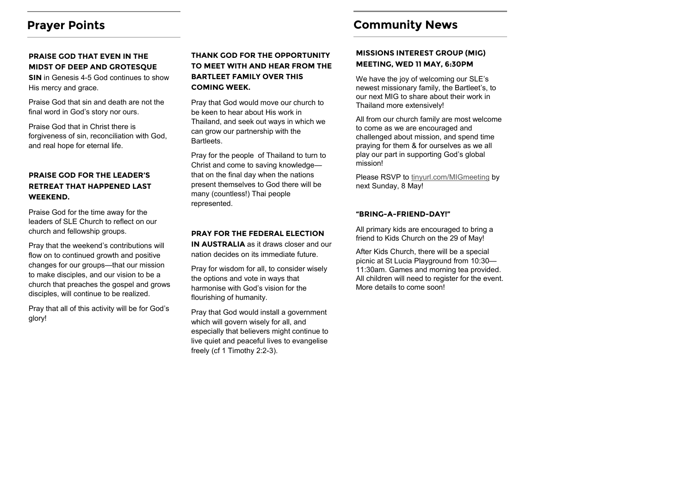### **Prayer Points**

#### **PRAISE GOD THAT EVEN IN THE MIDST OF DEEP AND GROTESQUE**

**SIN** in Genesis 4-5 God continues to show His mercy and grace.

Praise God that sin and death are not the final word in God's story nor ours.

Praise God that in Christ there is forgiveness of sin, reconciliation with God, and real hope for eternal life.

#### **PRAISE GOD FOR THE LEADER'S RETREAT THAT HAPPENED LAST WEEKEND.**

Praise God for the time away for the leaders of SLE Church to reflect on our church and fellowship groups.

Pray that the weekend's contributions will flow on to continued growth and positive changes for our groups—that our mission to make disciples, and our vision to be a church that preaches the gospel and grows disciples, will continue to be realized.

Pray that all of this activity will be for God's glory!

#### **THANK GOD FOR THE OPPORTUNITY TO MEET WITH AND HEAR FROM THE BARTLEET FAMILY OVER THIS COMING WEEK.**

Pray that God would move our church to be keen to hear about His work in Thailand, and seek out ways in which we can grow our partnership with the Bartleets.

Pray for the people of Thailand to turn to Christ and come to saving knowledge that on the final day when the nations present themselves to God there will be many (countless!) Thai people represented.

#### **PRAY FOR THE FEDERAL ELECTION**

**IN AUSTRALIA** as it draws closer and our nation decides on its immediate future.

Pray for wisdom for all, to consider wisely the options and vote in ways that harmonise with God's vision for the flourishing of humanity.

Pray that God would install a government which will govern wisely for all, and especially that believers might continue to live quiet and peaceful lives to evangelise freely (cf 1 Timothy 2:2-3).

## **Community News**

#### **MISSIONS INTEREST GROUP (MIG) MEETING, WED 11 MAY, 6:30PM**

We have the joy of welcoming our SLE's newest missionary family, the Bartleet's, to our next MIG to share about their work in Thailand more extensively!

All from our church family are most welcome to come as we are encouraged and challenged about mission, and spend time praying for them & for ourselves as we all play our part in supporting God's global mission!

Please RSVP to [tinyurl.com/MIGmeeting](http://tinyurl.com/MIGmeeting) by next Sunday, 8 May!

#### **"BRING-A-FRIEND-DAY!"**

All primary kids are encouraged to bring a friend to Kids Church on the 29 of May!

After Kids Church, there will be a special picnic at St Lucia Playground from 10:30— 11:30am. Games and morning tea provided. All children will need to register for the event. More details to come soon!